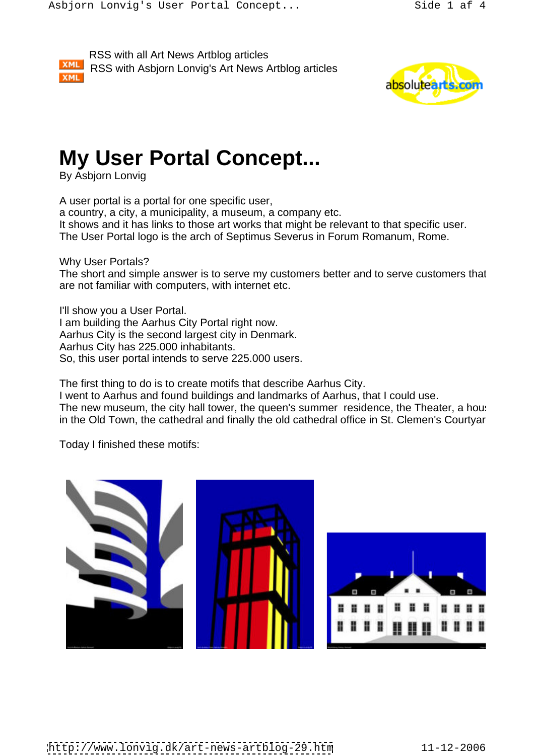RSS with all Art News Artblog articles RSS with Asbjorn Lonvig's Art News Artblog articles **XML** 



## **My User Portal Concept...**

By Asbjorn Lonvig

A user portal is a portal for one specific user, a country, a city, a municipality, a museum, a company etc. It shows and it has links to those art works that might be relevant to that specific user. The User Portal logo is the arch of Septimus Severus in Forum Romanum, Rome.

Why User Portals? The short and simple answer is to serve my customers better and to serve customers that are not familiar with computers, with internet etc.

I'll show you a User Portal. I am building the Aarhus City Portal right now. Aarhus City is the second largest city in Denmark. Aarhus City has 225.000 inhabitants. So, this user portal intends to serve 225.000 users.

The first thing to do is to create motifs that describe Aarhus City.

I went to Aarhus and found buildings and landmarks of Aarhus, that I could use. The new museum, the city hall tower, the queen's summer residence, the Theater, a house in the Old Town, the cathedral and finally the old cathedral office in St. Clemen's Courtyar

Today I finished these motifs:

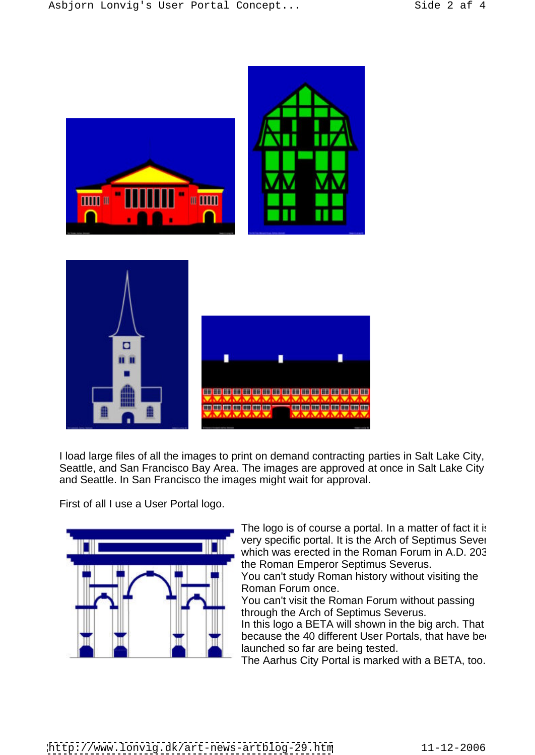

I load large files of all the images to print on demand contracting parties in Salt Lake City, Seattle, and San Francisco Bay Area. The images are approved at once in Salt Lake City and Seattle. In San Francisco the images might wait for approval.

First of all I use a User Portal logo.



The logo is of course a portal. In a matter of fact it is very specific portal. It is the Arch of Septimus Sever which was erected in the Roman Forum in A.D. 203 the Roman Emperor Septimus Severus.

You can't study Roman history without visiting the Roman Forum once.

You can't visit the Roman Forum without passing through the Arch of Septimus Severus.

In this logo a BETA will shown in the big arch. That because the 40 different User Portals, that have been launched so far are being tested.

The Aarhus City Portal is marked with a BETA, too.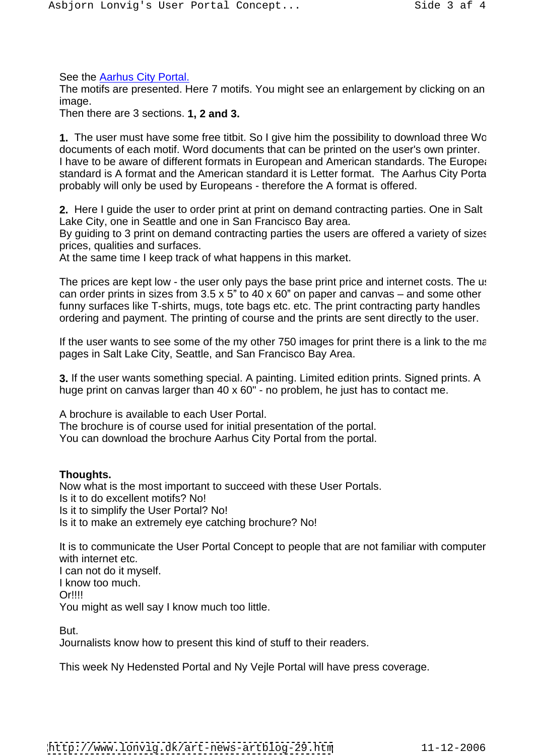See the Aarhus City Portal.

The motifs are presented. Here 7 motifs. You might see an enlargement by clicking on an image.

Then there are 3 sections. **1, 2 and 3.**

**1.** The user must have some free titbit. So I give him the possibility to download three Wo documents of each motif. Word documents that can be printed on the user's own printer. I have to be aware of different formats in European and American standards. The European standard is A format and the American standard it is Letter format. The Aarhus City Portal probably will only be used by Europeans - therefore the A format is offered.

**2.** Here I guide the user to order print at print on demand contracting parties. One in Salt Lake City, one in Seattle and one in San Francisco Bay area.

By guiding to 3 print on demand contracting parties the users are offered a variety of sizes prices, qualities and surfaces.

At the same time I keep track of what happens in this market.

The prices are kept low - the user only pays the base print price and internet costs. The use can order prints in sizes from  $3.5 \times 5$ " to  $40 \times 60$ " on paper and canvas – and some other funny surfaces like T-shirts, mugs, tote bags etc. etc. The print contracting party handles ordering and payment. The printing of course and the prints are sent directly to the user.

If the user wants to see some of the my other  $750$  images for print there is a link to the ma pages in Salt Lake City, Seattle, and San Francisco Bay Area.

**3.** If the user wants something special. A painting. Limited edition prints. Signed prints. A huge print on canvas larger than 40 x 60" - no problem, he just has to contact me.

A brochure is available to each User Portal. The brochure is of course used for initial presentation of the portal. You can download the brochure Aarhus City Portal from the portal.

## **Thoughts.**

Now what is the most important to succeed with these User Portals. Is it to do excellent motifs? No! Is it to simplify the User Portal? No! Is it to make an extremely eye catching brochure? No!

It is to communicate the User Portal Concept to people that are not familiar with computer with internet etc.

I can not do it myself. I know too much. Or!!!! You might as well say I know much too little.

But.

Journalists know how to present this kind of stuff to their readers.

This week Ny Hedensted Portal and Ny Vejle Portal will have press coverage.